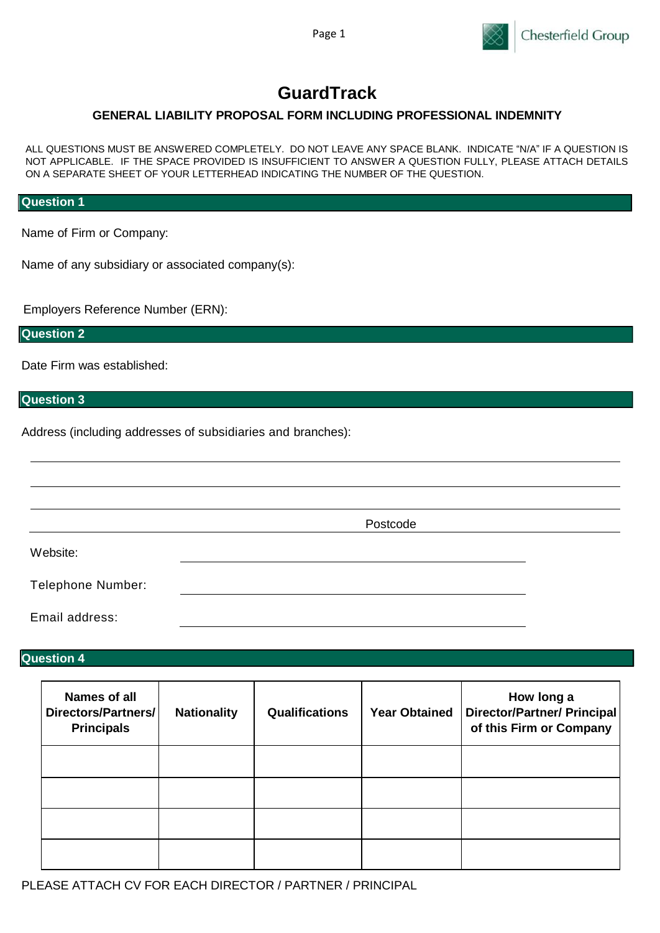

# **GuardTrack**

### **GENERAL LIABILITY PROPOSAL FORM INCLUDING PROFESSIONAL INDEMNITY**

ALL QUESTIONS MUST BE ANSWERED COMPLETELY. DO NOT LEAVE ANY SPACE BLANK. INDICATE "N/A" IF A QUESTION IS NOT APPLICABLE. IF THE SPACE PROVIDED IS INSUFFICIENT TO ANSWER A QUESTION FULLY, PLEASE ATTACH DETAILS ON A SEPARATE SHEET OF YOUR LETTERHEAD INDICATING THE NUMBER OF THE QUESTION.

#### **Question 1**

Name of Firm or Company:

Name of any subsidiary or associated company(s):

Employers Reference Number (ERN):

**Question 2**

Date Firm was established:

**Question 3**

Address (including addresses of subsidiaries and branches):

Website:

Telephone Number:

Email address:

#### **Question 4**

| Names of all<br>Directors/Partners/<br><b>Principals</b> | <b>Nationality</b> | <b>Qualifications</b> | <b>Year Obtained</b> | How long a<br><b>Director/Partner/ Principal</b><br>of this Firm or Company |
|----------------------------------------------------------|--------------------|-----------------------|----------------------|-----------------------------------------------------------------------------|
|                                                          |                    |                       |                      |                                                                             |
|                                                          |                    |                       |                      |                                                                             |
|                                                          |                    |                       |                      |                                                                             |
|                                                          |                    |                       |                      |                                                                             |

Postcode

PLEASE ATTACH CV FOR EACH DIRECTOR / PARTNER / PRINCIPAL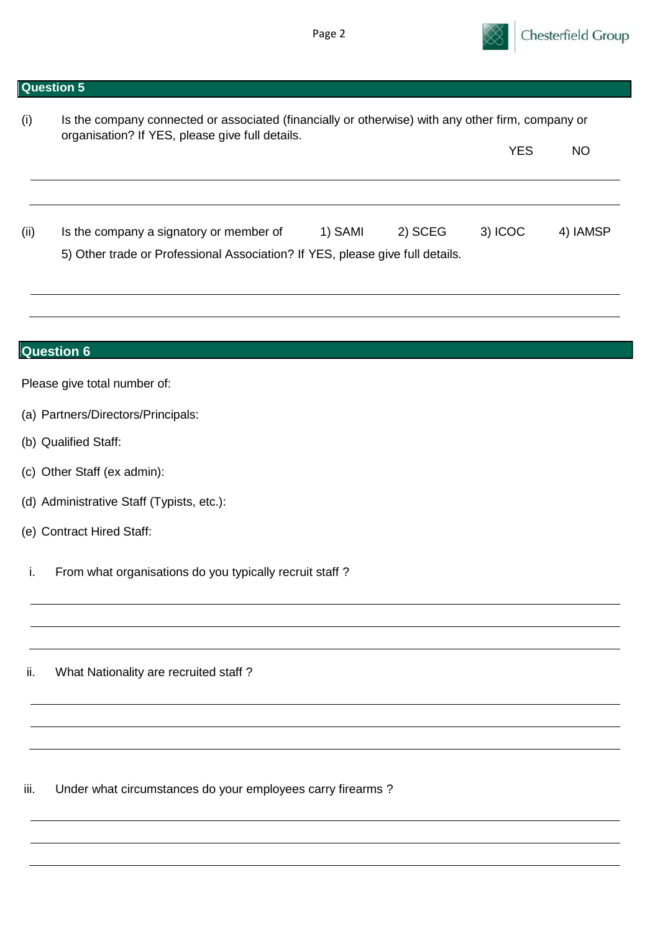

(i) Is the company connected or associated (financially or otherwise) with any other firm, company or organisation? If YES, please give full details.

|      |                                                                               |         |         | YES     | ΝO       |
|------|-------------------------------------------------------------------------------|---------|---------|---------|----------|
|      |                                                                               |         |         |         |          |
| (ii) | Is the company a signatory or member of                                       | 1) SAMI | 2) SCEG | 3) ICOC | 4) IAMSP |
|      | 5) Other trade or Professional Association? If YES, please give full details. |         |         |         |          |

## **Question 6**

Please give total number of:

- (a) Partners/Directors/Principals:
- (b) Qualified Staff:
- (c) Other Staff (ex admin):
- (d) Administrative Staff (Typists, etc.):
- (e) Contract Hired Staff:
- i. From what organisations do you typically recruit staff ?

ii. What Nationality are recruited staff?

iii. Under what circumstances do your employees carry firearms?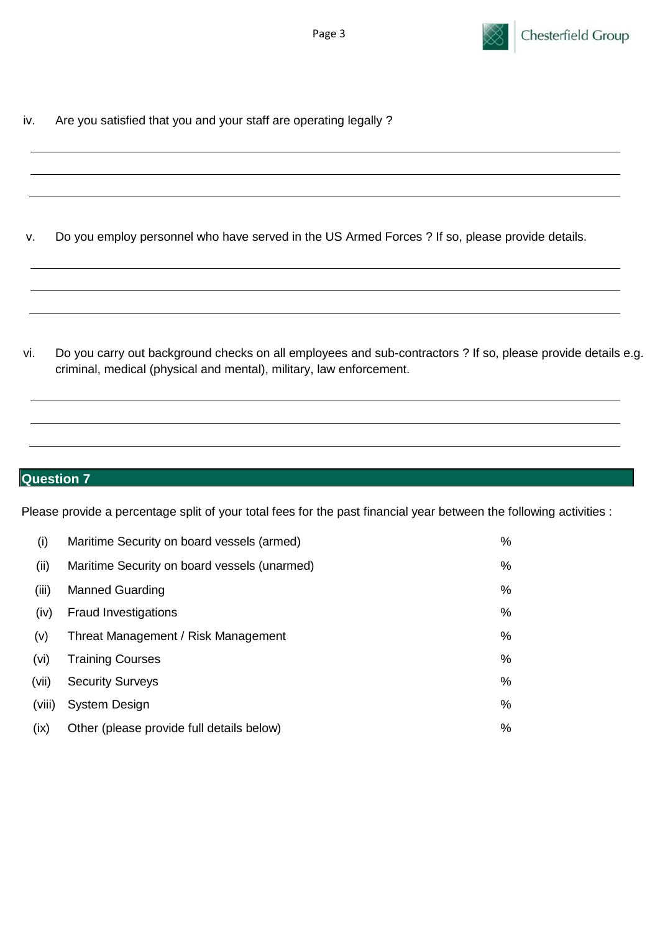

| iv. | Are you satisfied that you and your staff are operating legally? |  |  |  |  |  |
|-----|------------------------------------------------------------------|--|--|--|--|--|
|-----|------------------------------------------------------------------|--|--|--|--|--|

v. Do you employ personnel who have served in the US Armed Forces ? If so, please provide details.

vi. Do you carry out background checks on all employees and sub-contractors ? If so, please provide details e.g. criminal, medical (physical and mental), military, law enforcement.

### **Question 7**

Please provide a percentage split of your total fees for the past financial year between the following activities :

| (i)    | Maritime Security on board vessels (armed)   | % |
|--------|----------------------------------------------|---|
| (ii)   | Maritime Security on board vessels (unarmed) | % |
| (iii)  | <b>Manned Guarding</b>                       | % |
| (iv)   | <b>Fraud Investigations</b>                  | % |
| (v)    | Threat Management / Risk Management          | % |
| (vi)   | <b>Training Courses</b>                      | % |
| (vii)  | <b>Security Surveys</b>                      | % |
| (viii) | System Design                                | % |
| (ix)   | Other (please provide full details below)    | % |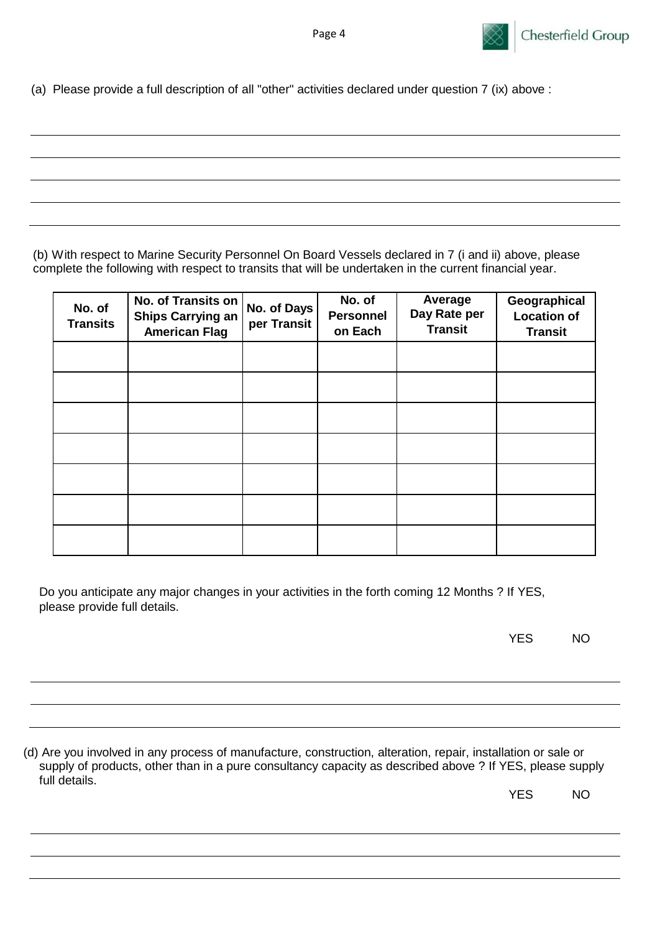

(a) Please provide a full description of all "other" activities declared under question 7 (ix) above :

(b) With respect to Marine Security Personnel On Board Vessels declared in 7 (i and ii) above, please complete the following with respect to transits that will be undertaken in the current financial year.

| No. of<br><b>Transits</b> | <b>No. of Transits on</b><br><b>Ships Carrying an</b><br><b>American Flag</b> | No. of Days<br>per Transit | No. of<br><b>Personnel</b><br>on Each | Average<br>Day Rate per<br><b>Transit</b> | Geographical<br><b>Location of</b><br><b>Transit</b> |
|---------------------------|-------------------------------------------------------------------------------|----------------------------|---------------------------------------|-------------------------------------------|------------------------------------------------------|
|                           |                                                                               |                            |                                       |                                           |                                                      |
|                           |                                                                               |                            |                                       |                                           |                                                      |
|                           |                                                                               |                            |                                       |                                           |                                                      |
|                           |                                                                               |                            |                                       |                                           |                                                      |
|                           |                                                                               |                            |                                       |                                           |                                                      |
|                           |                                                                               |                            |                                       |                                           |                                                      |
|                           |                                                                               |                            |                                       |                                           |                                                      |

Do you anticipate any major changes in your activities in the forth coming 12 Months ? If YES, please provide full details.

| YES | <b>NO</b> |
|-----|-----------|
|-----|-----------|

(d) Are you involved in any process of manufacture, construction, alteration, repair, installation or sale or supply of products, other than in a pure consultancy capacity as described above ? If YES, please supply full details.

YES NO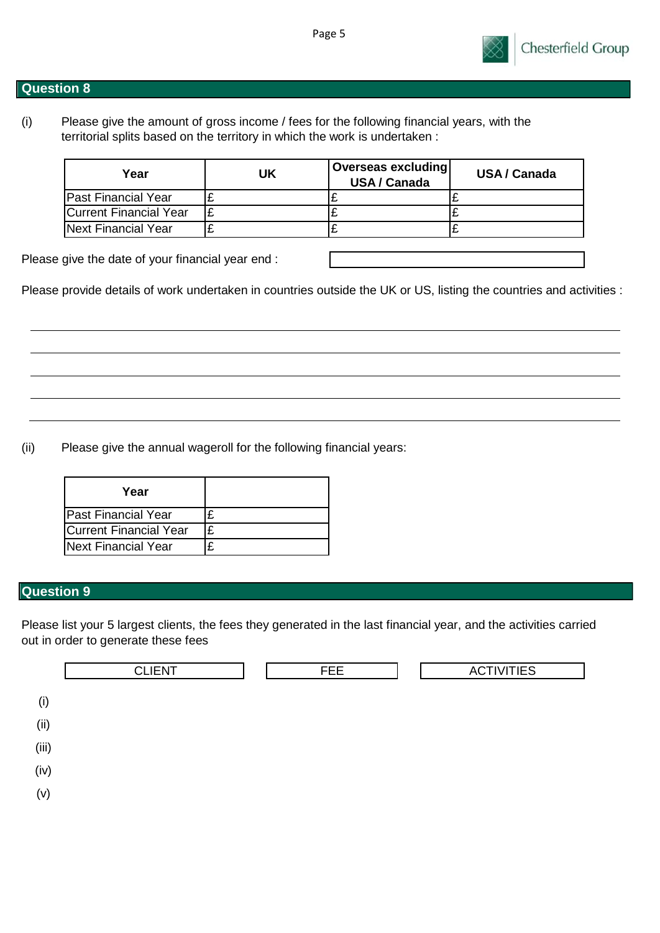

(i) Please give the amount of gross income / fees for the following financial years, with the territorial splits based on the territory in which the work is undertaken :

| Year                       | UK | <b>Overseas excluding</b><br>USA / Canada | USA / Canada |
|----------------------------|----|-------------------------------------------|--------------|
| <b>Past Financial Year</b> |    |                                           |              |
| Current Financial Year     |    |                                           | -            |
| Next Financial Year        |    |                                           |              |

Please give the date of your financial year end :

Please provide details of work undertaken in countries outside the UK or US, listing the countries and activities :

(ii) Please give the annual wageroll for the following financial years:

| Year                   |  |
|------------------------|--|
| Past Financial Year    |  |
| Current Financial Year |  |
| Next Financial Year    |  |

#### **Question 9**

Please list your 5 largest clients, the fees they generated in the last financial year, and the activities carried out in order to generate these fees

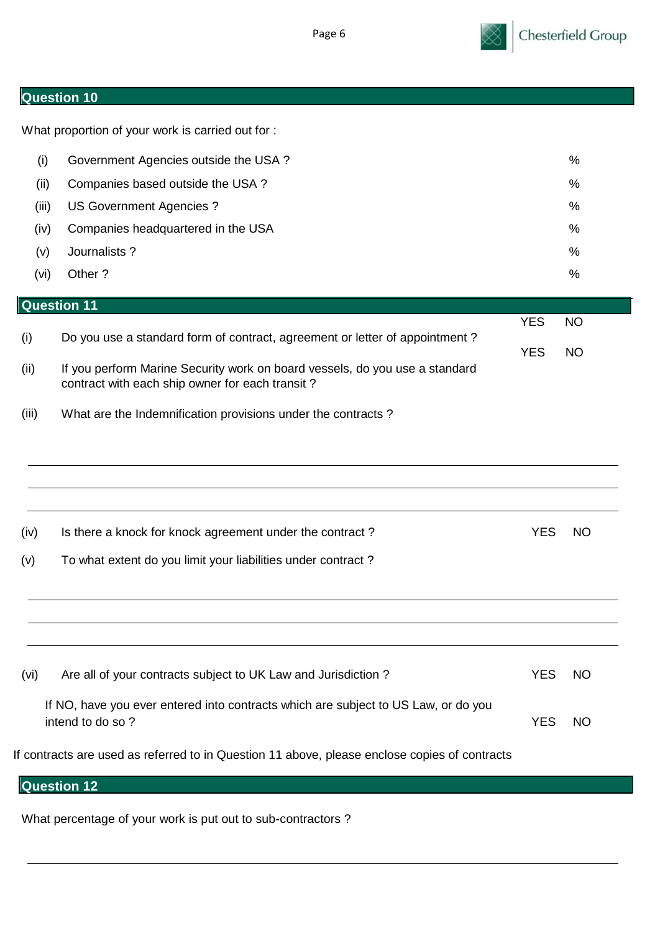

What proportion of your work is carried out for :

| (i)   | Government Agencies outside the USA? | %    |
|-------|--------------------------------------|------|
| (ii)  | Companies based outside the USA?     | %    |
| (iii) | US Government Agencies ?             | %    |
| (iv)  | Companies headquartered in the USA   | $\%$ |
| (v)   | Journalists ?                        | %    |
| (vi)  | Other?                               | %    |

|                      | <b>Question 11</b>                                                                                                                                                                                                                                                            |                          |                        |
|----------------------|-------------------------------------------------------------------------------------------------------------------------------------------------------------------------------------------------------------------------------------------------------------------------------|--------------------------|------------------------|
| (i)<br>(ii)<br>(iii) | Do you use a standard form of contract, agreement or letter of appointment?<br>If you perform Marine Security work on board vessels, do you use a standard<br>contract with each ship owner for each transit?<br>What are the Indemnification provisions under the contracts? | <b>YES</b><br><b>YES</b> | <b>NO</b><br><b>NO</b> |
| (iv)                 | Is there a knock for knock agreement under the contract?                                                                                                                                                                                                                      | <b>YES</b>               | <b>NO</b>              |
| (v)                  | To what extent do you limit your liabilities under contract?                                                                                                                                                                                                                  |                          |                        |
| (vi)                 | Are all of your contracts subject to UK Law and Jurisdiction?                                                                                                                                                                                                                 | <b>YES</b>               | NO                     |
|                      | If NO, have you ever entered into contracts which are subject to US Law, or do you<br>intend to do so?                                                                                                                                                                        | <b>YES</b>               | <b>NO</b>              |
|                      | If contracts are used as referred to in Question 11 above, please enclose copies of contracts<br>Question 12                                                                                                                                                                  |                          |                        |

What percentage of your work is put out to sub-contractors ?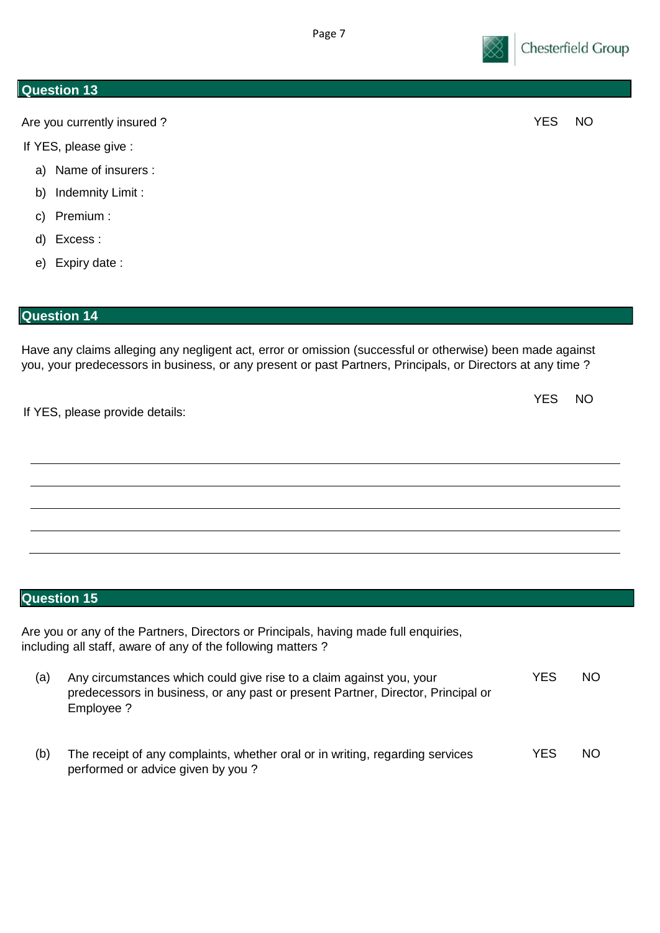

Are you currently insured ? YES NO

If YES, please give :

- a) Name of insurers :
- b) Indemnity Limit :
- c) Premium :
- d) Excess :
- e) Expiry date :

#### **Question 14**

Have any claims alleging any negligent act, error or omission (successful or otherwise) been made against you, your predecessors in business, or any present or past Partners, Principals, or Directors at any time ?

| If YES, please provide details: |  |
|---------------------------------|--|
|---------------------------------|--|

#### **Question 15**

Are you or any of the Partners, Directors or Principals, having made full enquiries, including all staff, aware of any of the following matters ?

- (a) Any circumstances which could give rise to a claim against you, your predecessors in business, or any past or present Partner, Director, Principal or Employee ? YES NO
- (b) The receipt of any complaints, whether oral or in writing, regarding services performed or advice given by you ? YES NO

YES NO